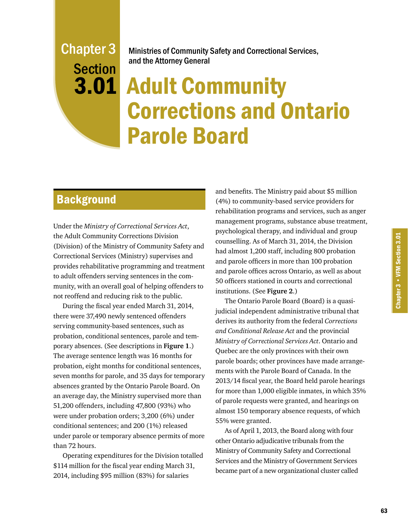## Chapter 3 **Section**

Ministries of Community Safety and Correctional Services, and the Attorney General

### 3.01 Adult Community Corrections and Ontario Parole Board

#### **Background**

Under the *Ministry of Correctional Services Act*, the Adult Community Corrections Division (Division) of the Ministry of Community Safety and Correctional Services (Ministry) supervises and provides rehabilitative programming and treatment to adult offenders serving sentences in the community, with an overall goal of helping offenders to not reoffend and reducing risk to the public.

During the fiscal year ended March 31, 2014, there were 37,490 newly sentenced offenders serving community-based sentences, such as probation, conditional sentences, parole and temporary absences. (See descriptions in **Figure 1**.) The average sentence length was 16 months for probation, eight months for conditional sentences, seven months for parole, and 35 days for temporary absences granted by the Ontario Parole Board. On an average day, the Ministry supervised more than 51,200 offenders, including 47,800 (93%) who were under probation orders; 3,200 (6%) under conditional sentences; and 200 (1%) released under parole or temporary absence permits of more than 72 hours.

Operating expenditures for the Division totalled \$114 million for the fiscal year ending March 31, 2014, including \$95 million (83%) for salaries

and benefits. The Ministry paid about \$5 million (4%) to community-based service providers for rehabilitation programs and services, such as anger management programs, substance abuse treatment, psychological therapy, and individual and group counselling. As of March 31, 2014, the Division had almost 1,200 staff, including 800 probation and parole officers in more than 100 probation and parole offices across Ontario, as well as about 50 officers stationed in courts and correctional institutions. (See **Figure 2**.)

The Ontario Parole Board (Board) is a quasijudicial independent administrative tribunal that derives its authority from the federal *Corrections and Conditional Release Act* and the provincial *Ministry of Correctional Services Act*. Ontario and Quebec are the only provinces with their own parole boards; other provinces have made arrangements with the Parole Board of Canada. In the 2013/14 fiscal year, the Board held parole hearings for more than 1,000 eligible inmates, in which 35% of parole requests were granted, and hearings on almost 150 temporary absence requests, of which 55% were granted.

As of April 1, 2013, the Board along with four other Ontario adjudicative tribunals from the Ministry of Community Safety and Correctional Services and the Ministry of Government Services became part of a new organizational cluster called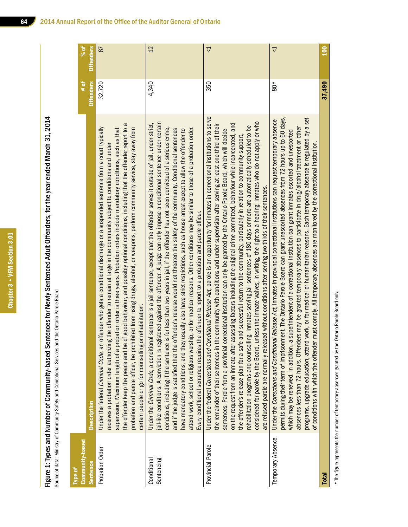Chapter 3 • VFM Section 3.01 Chapter 3 • VFM Section 3.01

Figure 1: Types and Number of Community-based Sentences for Newly Sentenced Adult Offenders, for the year ended March 31, 2014 Figure 1: Types and Number of Community-based Sentences for Newly Sentenced Adult Offenders, for the year ended March 31, 2014 Source of data: Ministry of Community Safety and Correctional Services and the Ontario Parole Board Source of data: Ministry of Community Safety and Correctional Services and the Ontario Parole Board

| Community-based<br>Type of |                                                                                                                                                                                                                                                                                                                                                                                                                                                                                                                                                                                                                                                                                                                                                                                                                                                                                                                                                                                                                                                                        | $\frac{1}{2}$    | $%$ of            |
|----------------------------|------------------------------------------------------------------------------------------------------------------------------------------------------------------------------------------------------------------------------------------------------------------------------------------------------------------------------------------------------------------------------------------------------------------------------------------------------------------------------------------------------------------------------------------------------------------------------------------------------------------------------------------------------------------------------------------------------------------------------------------------------------------------------------------------------------------------------------------------------------------------------------------------------------------------------------------------------------------------------------------------------------------------------------------------------------------------|------------------|-------------------|
| <b>Sentence</b>            | <b>Description</b>                                                                                                                                                                                                                                                                                                                                                                                                                                                                                                                                                                                                                                                                                                                                                                                                                                                                                                                                                                                                                                                     | <b>Offenders</b> | <b>Offenders</b>  |
| Probation Order            | the offender keep the peace and be of good behaviour, and possibly optional conditions, including that the offender report to a<br>Under the federal Criminal Code, an offender who gets a conditional discharge or a suspended sentence from a court typically<br>probation and parole officer, be prohibited from using drugs, alcohol, or weapons, perform community service, stay away from<br>supervision. Maximum length of a probation order is three years. Probation orders include mandatory conditions, such as that<br>receives a probation order authorizing the offender to remain at large in the community subject to conditions and under<br>certain people or go for counselling or rehabilitation.                                                                                                                                                                                                                                                                                                                                                  | 32,720           | 87                |
| Sentencing<br>Conditional  | jail-like conditions. A conviction is registered against the offender. A judge can only impose a conditional sentence under certain<br>sentence is a jail sentence, except that the offender serves it outside of jail, under strict,<br>conditions, including if the sentence is for less than two years in jail, if the offender has not been convicted of a serious crime,<br>attend work, school or religious worship, or for medical reasons. Other conditions may be similar to those of a probation order.<br>and if the judge is satisfied that the offender's release would not threaten the safety of the community. Conditional sentences<br>have mandatory conditions, and they usually also have strict restrictions, such as house arrest except to allow the offender to<br>Every conditional sentence requires the offender to report to a probation and parole officer.<br>Under the Criminal Code, a conditional s                                                                                                                                   | 4,340            | 12                |
| Provincial Parole          | Under the federal Corrections and Conditional Release Act, parole is an opportunity for inmates in correctional institutions to serve<br>considered for parole by the Board, unless the inmate waives, in writing, the right to a hearing. Inmates who do not apply or who<br>on the request from an inmate after assessing factors including the original crime committed, behaviour while incarcerated, and<br>community with conditions and under supervision after serving at least one-third of their<br>rehabilitation programs and counselling. Inmates serving jail sentences of 180 days or more are automatically scheduled to be<br>sentences. Parole from a provincial correctional institution can only be granted by the Ontario Parole Board, which will decide<br>the offender's release plan for a safe and successful return to the community, particularly in relation to community support,<br>are refused parole are normally released without conditions after serving two-thirds of their sentences.<br>the remainder of their sentences in the | 350              | $\overline{\vee}$ |
| Temporary Absence          | permits during their term of imprisonment. The Ontario Parole Board can grant unescorted absences from 72 hours up to 60 days,<br>programs, upgrade education, attend work, or for medical or humanitarian reasons. Each temporary absence is regulated by a set<br>Under the Corrections and Conditional Release Act, inmates in provincial correctional institutions can request temporary absence<br>may be granted temporary absences to participate in drug/alcohol treatment or other<br>which may be renewed. In addition, a superintendent of a correctional institution can grant inmates escorted and unescorted<br>of conditions with which the offender must comply. All temporary absences are monitored by the correctional institution<br>absences less than 72 hours. Offenders                                                                                                                                                                                                                                                                        | $80*$            | $\vec{\nabla}$    |
| <b>Total</b>               |                                                                                                                                                                                                                                                                                                                                                                                                                                                                                                                                                                                                                                                                                                                                                                                                                                                                                                                                                                                                                                                                        | 37,490           | ខ្ន               |

\* The figure represents the number of temporary absences granted by the Ontario Parole Board only. \* The figure represents the number of temporary absences granted by the Ontario Parole Board only.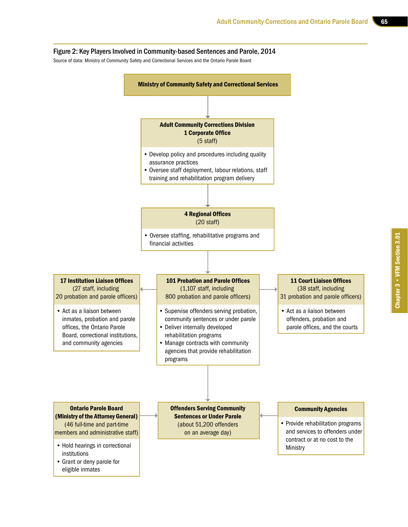#### Figure 2: Key Players Involved in Community-based Sentences and Parole, 2014

Source of data: Ministry of Community Safety and Correctional Services and the Ontario Parole Board

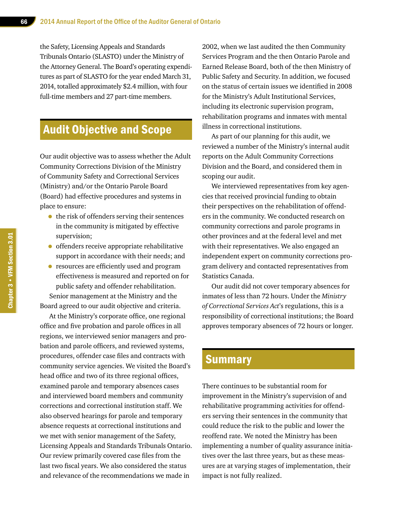the Safety, Licensing Appeals and Standards Tribunals Ontario (SLASTO) under the Ministry of the Attorney General. The Board's operating expenditures as part of SLASTO for the year ended March 31, 2014, totalled approximately \$2.4 million, with four full-time members and 27 part-time members.

#### Audit Objective and Scope

Our audit objective was to assess whether the Adult Community Corrections Division of the Ministry of Community Safety and Correctional Services (Ministry) and/or the Ontario Parole Board (Board) had effective procedures and systems in place to ensure:

- the risk of offenders serving their sentences in the community is mitigated by effective supervision;
- offenders receive appropriate rehabilitative support in accordance with their needs; and
- resources are efficiently used and program effectiveness is measured and reported on for public safety and offender rehabilitation.

Senior management at the Ministry and the Board agreed to our audit objective and criteria.

At the Ministry's corporate office, one regional office and five probation and parole offices in all regions, we interviewed senior managers and probation and parole officers, and reviewed systems, procedures, offender case files and contracts with community service agencies. We visited the Board's head office and two of its three regional offices, examined parole and temporary absences cases and interviewed board members and community corrections and correctional institution staff. We also observed hearings for parole and temporary absence requests at correctional institutions and we met with senior management of the Safety, Licensing Appeals and Standards Tribunals Ontario. Our review primarily covered case files from the last two fiscal years. We also considered the status and relevance of the recommendations we made in

2002, when we last audited the then Community Services Program and the then Ontario Parole and Earned Release Board, both of the then Ministry of Public Safety and Security. In addition, we focused on the status of certain issues we identified in 2008 for the Ministry's Adult Institutional Services, including its electronic supervision program, rehabilitation programs and inmates with mental illness in correctional institutions.

As part of our planning for this audit, we reviewed a number of the Ministry's internal audit reports on the Adult Community Corrections Division and the Board, and considered them in scoping our audit.

We interviewed representatives from key agencies that received provincial funding to obtain their perspectives on the rehabilitation of offenders in the community. We conducted research on community corrections and parole programs in other provinces and at the federal level and met with their representatives. We also engaged an independent expert on community corrections program delivery and contacted representatives from Statistics Canada.

Our audit did not cover temporary absences for inmates of less than 72 hours. Under the *Ministry of Correctional Services Act*'s regulations, this is a responsibility of correctional institutions; the Board approves temporary absences of 72 hours or longer.

#### **Summary**

There continues to be substantial room for improvement in the Ministry's supervision of and rehabilitative programming activities for offenders serving their sentences in the community that could reduce the risk to the public and lower the reoffend rate. We noted the Ministry has been implementing a number of quality assurance initiatives over the last three years, but as these measures are at varying stages of implementation, their impact is not fully realized.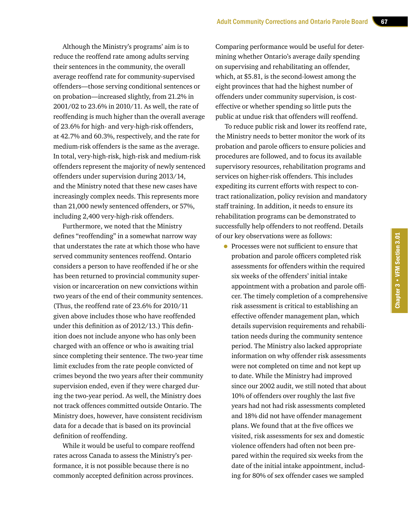Although the Ministry's programs' aim is to reduce the reoffend rate among adults serving their sentences in the community, the overall average reoffend rate for community-supervised offenders—those serving conditional sentences or on probation—increased slightly, from 21.2% in 2001/02 to 23.6% in 2010/11. As well, the rate of reoffending is much higher than the overall average of 23.6% for high- and very-high-risk offenders, at 42.7% and 60.3%, respectively, and the rate for medium-risk offenders is the same as the average. In total, very-high-risk, high-risk and medium-risk offenders represent the majority of newly sentenced offenders under supervision during 2013/14, and the Ministry noted that these new cases have increasingly complex needs. This represents more than 21,000 newly sentenced offenders, or 57%, including 2,400 very-high-risk offenders.

Furthermore, we noted that the Ministry defines "reoffending" in a somewhat narrow way that understates the rate at which those who have served community sentences reoffend. Ontario considers a person to have reoffended if he or she has been returned to provincial community supervision or incarceration on new convictions within two years of the end of their community sentences. (Thus, the reoffend rate of 23.6% for 2010/11 given above includes those who have reoffended under this definition as of 2012/13.) This definition does not include anyone who has only been charged with an offence or who is awaiting trial since completing their sentence. The two-year time limit excludes from the rate people convicted of crimes beyond the two years after their community supervision ended, even if they were charged during the two-year period. As well, the Ministry does not track offences committed outside Ontario. The Ministry does, however, have consistent recidivism data for a decade that is based on its provincial definition of reoffending.

While it would be useful to compare reoffend rates across Canada to assess the Ministry's performance, it is not possible because there is no commonly accepted definition across provinces.

Comparing performance would be useful for determining whether Ontario's average daily spending on supervising and rehabilitating an offender, which, at \$5.81, is the second-lowest among the eight provinces that had the highest number of offenders under community supervision, is costeffective or whether spending so little puts the public at undue risk that offenders will reoffend.

To reduce public risk and lower its reoffend rate, the Ministry needs to better monitor the work of its probation and parole officers to ensure policies and procedures are followed, and to focus its available supervisory resources, rehabilitation programs and services on higher-risk offenders. This includes expediting its current efforts with respect to contract rationalization, policy revision and mandatory staff training. In addition, it needs to ensure its rehabilitation programs can be demonstrated to successfully help offenders to not reoffend. Details of our key observations were as follows:

• Processes were not sufficient to ensure that probation and parole officers completed risk assessments for offenders within the required six weeks of the offenders' initial intake appointment with a probation and parole officer. The timely completion of a comprehensive risk assessment is critical to establishing an effective offender management plan, which details supervision requirements and rehabilitation needs during the community sentence period. The Ministry also lacked appropriate information on why offender risk assessments were not completed on time and not kept up to date. While the Ministry had improved since our 2002 audit, we still noted that about 10% of offenders over roughly the last five years had not had risk assessments completed and 18% did not have offender management plans. We found that at the five offices we visited, risk assessments for sex and domestic violence offenders had often not been prepared within the required six weeks from the date of the initial intake appointment, including for 80% of sex offender cases we sampled

Chapter 3 • VFM Section 3.01

Chapter 3 . VFM Section 3.01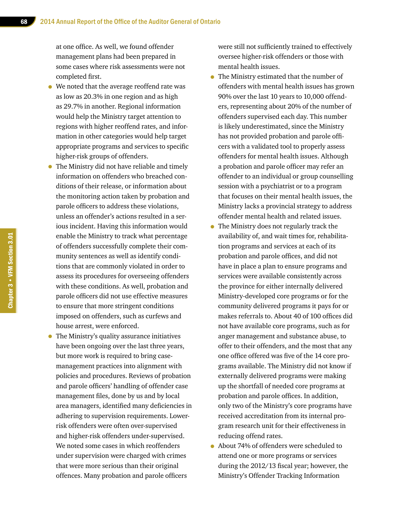at one office. As well, we found offender management plans had been prepared in some cases where risk assessments were not completed first.

- We noted that the average reoffend rate was as low as 20.3% in one region and as high as 29.7% in another. Regional information would help the Ministry target attention to regions with higher reoffend rates, and information in other categories would help target appropriate programs and services to specific higher-risk groups of offenders.
- The Ministry did not have reliable and timely information on offenders who breached conditions of their release, or information about the monitoring action taken by probation and parole officers to address these violations, unless an offender's actions resulted in a serious incident. Having this information would enable the Ministry to track what percentage of offenders successfully complete their community sentences as well as identify conditions that are commonly violated in order to assess its procedures for overseeing offenders with these conditions. As well, probation and parole officers did not use effective measures to ensure that more stringent conditions imposed on offenders, such as curfews and house arrest, were enforced.
- The Ministry's quality assurance initiatives have been ongoing over the last three years, but more work is required to bring casemanagement practices into alignment with policies and procedures. Reviews of probation and parole officers' handling of offender case management files, done by us and by local area managers, identified many deficiencies in adhering to supervision requirements. Lowerrisk offenders were often over-supervised and higher-risk offenders under-supervised. We noted some cases in which reoffenders under supervision were charged with crimes that were more serious than their original offences. Many probation and parole officers

were still not sufficiently trained to effectively oversee higher-risk offenders or those with mental health issues.

- The Ministry estimated that the number of offenders with mental health issues has grown 90% over the last 10 years to 10,000 offenders, representing about 20% of the number of offenders supervised each day. This number is likely underestimated, since the Ministry has not provided probation and parole officers with a validated tool to properly assess offenders for mental health issues. Although a probation and parole officer may refer an offender to an individual or group counselling session with a psychiatrist or to a program that focuses on their mental health issues, the Ministry lacks a provincial strategy to address offender mental health and related issues.
- The Ministry does not regularly track the availability of, and wait times for, rehabilitation programs and services at each of its probation and parole offices, and did not have in place a plan to ensure programs and services were available consistently across the province for either internally delivered Ministry-developed core programs or for the community delivered programs it pays for or makes referrals to. About 40 of 100 offices did not have available core programs, such as for anger management and substance abuse, to offer to their offenders, and the most that any one office offered was five of the 14 core programs available. The Ministry did not know if externally delivered programs were making up the shortfall of needed core programs at probation and parole offices. In addition, only two of the Ministry's core programs have received accreditation from its internal program research unit for their effectiveness in reducing offend rates.
- About 74% of offenders were scheduled to attend one or more programs or services during the 2012/13 fiscal year; however, the Ministry's Offender Tracking Information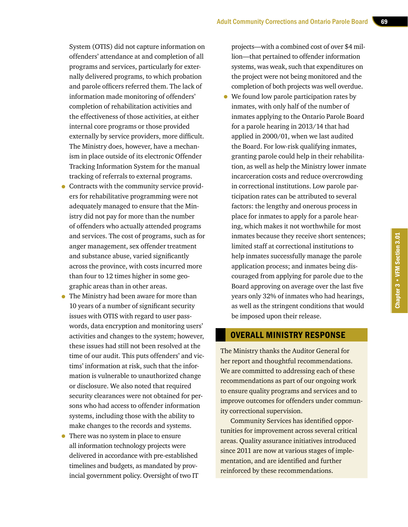System (OTIS) did not capture information on offenders' attendance at and completion of all programs and services, particularly for externally delivered programs, to which probation and parole officers referred them. The lack of information made monitoring of offenders' completion of rehabilitation activities and the effectiveness of those activities, at either internal core programs or those provided externally by service providers, more difficult. The Ministry does, however, have a mechanism in place outside of its electronic Offender Tracking Information System for the manual tracking of referrals to external programs.

- Contracts with the community service providers for rehabilitative programming were not adequately managed to ensure that the Ministry did not pay for more than the number of offenders who actually attended programs and services. The cost of programs, such as for anger management, sex offender treatment and substance abuse, varied significantly across the province, with costs incurred more than four to 12 times higher in some geographic areas than in other areas.
- The Ministry had been aware for more than 10 years of a number of significant security issues with OTIS with regard to user passwords, data encryption and monitoring users' activities and changes to the system; however, these issues had still not been resolved at the time of our audit. This puts offenders' and victims' information at risk, such that the information is vulnerable to unauthorized change or disclosure. We also noted that required security clearances were not obtained for persons who had access to offender information systems, including those with the ability to make changes to the records and systems.
- There was no system in place to ensure all information technology projects were delivered in accordance with pre-established timelines and budgets, as mandated by provincial government policy. Oversight of two IT

projects—with a combined cost of over \$4 million—that pertained to offender information systems, was weak, such that expenditures on the project were not being monitored and the completion of both projects was well overdue.

• We found low parole participation rates by inmates, with only half of the number of inmates applying to the Ontario Parole Board for a parole hearing in 2013/14 that had applied in 2000/01, when we last audited the Board. For low-risk qualifying inmates, granting parole could help in their rehabilitation, as well as help the Ministry lower inmate incarceration costs and reduce overcrowding in correctional institutions. Low parole participation rates can be attributed to several factors: the lengthy and onerous process in place for inmates to apply for a parole hearing, which makes it not worthwhile for most inmates because they receive short sentences; limited staff at correctional institutions to help inmates successfully manage the parole application process; and inmates being discouraged from applying for parole due to the Board approving on average over the last five years only 32% of inmates who had hearings, as well as the stringent conditions that would be imposed upon their release.

#### OVERALL MINISTRY RESPONSE

The Ministry thanks the Auditor General for her report and thoughtful recommendations. We are committed to addressing each of these recommendations as part of our ongoing work to ensure quality programs and services and to improve outcomes for offenders under community correctional supervision.

Community Services has identified opportunities for improvement across several critical areas. Quality assurance initiatives introduced since 2011 are now at various stages of implementation, and are identified and further reinforced by these recommendations.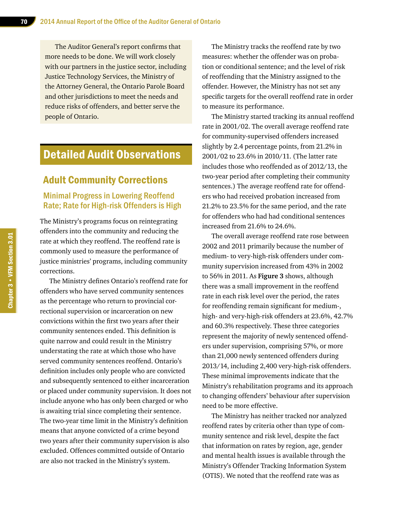The Auditor General's report confirms that more needs to be done. We will work closely with our partners in the justice sector, including Justice Technology Services, the Ministry of the Attorney General, the Ontario Parole Board and other jurisdictions to meet the needs and reduce risks of offenders, and better serve the people of Ontario.

#### Detailed Audit Observations

#### Adult Community Corrections

#### Minimal Progress in Lowering Reoffend Rate; Rate for High-risk Offenders is High

The Ministry's programs focus on reintegrating offenders into the community and reducing the rate at which they reoffend. The reoffend rate is commonly used to measure the performance of justice ministries' programs, including community corrections.

The Ministry defines Ontario's reoffend rate for offenders who have served community sentences as the percentage who return to provincial correctional supervision or incarceration on new convictions within the first two years after their community sentences ended. This definition is quite narrow and could result in the Ministry understating the rate at which those who have served community sentences reoffend. Ontario's definition includes only people who are convicted and subsequently sentenced to either incarceration or placed under community supervision. It does not include anyone who has only been charged or who is awaiting trial since completing their sentence. The two-year time limit in the Ministry's definition means that anyone convicted of a crime beyond two years after their community supervision is also excluded. Offences committed outside of Ontario are also not tracked in the Ministry's system.

The Ministry tracks the reoffend rate by two measures: whether the offender was on probation or conditional sentence; and the level of risk of reoffending that the Ministry assigned to the offender. However, the Ministry has not set any specific targets for the overall reoffend rate in order to measure its performance.

The Ministry started tracking its annual reoffend rate in 2001/02. The overall average reoffend rate for community-supervised offenders increased slightly by 2.4 percentage points, from 21.2% in 2001/02 to 23.6% in 2010/11. (The latter rate includes those who reoffended as of 2012/13, the two-year period after completing their community sentences.) The average reoffend rate for offenders who had received probation increased from 21.2% to 23.5% for the same period, and the rate for offenders who had had conditional sentences increased from 21.6% to 24.6%.

The overall average reoffend rate rose between 2002 and 2011 primarily because the number of medium- to very-high-risk offenders under community supervision increased from 43% in 2002 to 56% in 2011. As **Figure 3** shows, although there was a small improvement in the reoffend rate in each risk level over the period, the rates for reoffending remain significant for medium-, high- and very-high-risk offenders at 23.6%, 42.7% and 60.3% respectively. These three categories represent the majority of newly sentenced offenders under supervision, comprising 57%, or more than 21,000 newly sentenced offenders during 2013/14, including 2,400 very-high-risk offenders. These minimal improvements indicate that the Ministry's rehabilitation programs and its approach to changing offenders' behaviour after supervision need to be more effective.

The Ministry has neither tracked nor analyzed reoffend rates by criteria other than type of community sentence and risk level, despite the fact that information on rates by region, age, gender and mental health issues is available through the Ministry's Offender Tracking Information System (OTIS). We noted that the reoffend rate was as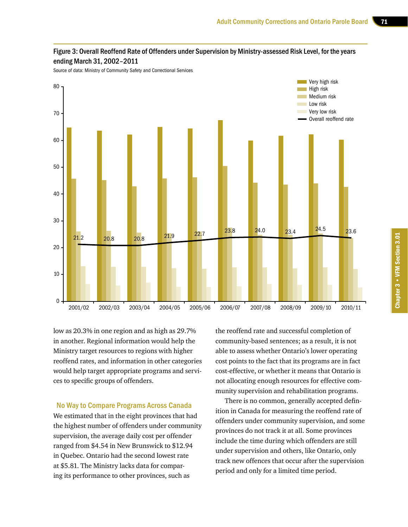

#### Figure 3: Overall Reoffend Rate of Offenders under Supervision by Ministry-assessed Risk Level, for the years ending March 31, 2002–2011

Source of data: Ministry of Community Safety and Correctional Services

low as 20.3% in one region and as high as 29.7% in another. Regional information would help the Ministry target resources to regions with higher reoffend rates, and information in other categories would help target appropriate programs and services to specific groups of offenders.

No Way to Compare Programs Across Canada

We estimated that in the eight provinces that had the highest number of offenders under community supervision, the average daily cost per offender ranged from \$4.54 in New Brunswick to \$12.94 in Quebec. Ontario had the second lowest rate at \$5.81. The Ministry lacks data for comparing its performance to other provinces, such as

the reoffend rate and successful completion of community-based sentences; as a result, it is not able to assess whether Ontario's lower operating cost points to the fact that its programs are in fact cost-effective, or whether it means that Ontario is not allocating enough resources for effective community supervision and rehabilitation programs.

There is no common, generally accepted definition in Canada for measuring the reoffend rate of offenders under community supervision, and some provinces do not track it at all. Some provinces include the time during which offenders are still under supervision and others, like Ontario, only track new offences that occur after the supervision period and only for a limited time period.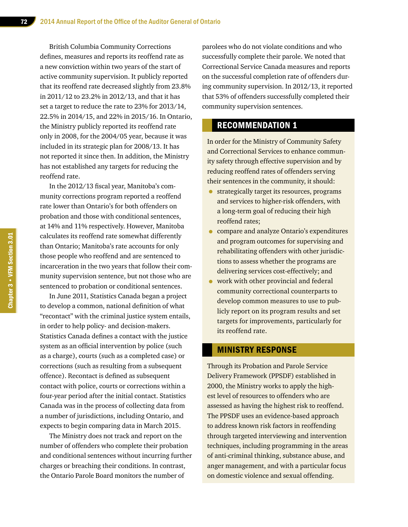British Columbia Community Corrections defines, measures and reports its reoffend rate as a new conviction within two years of the start of active community supervision. It publicly reported that its reoffend rate decreased slightly from 23.8% in 2011/12 to 23.2% in 2012/13, and that it has set a target to reduce the rate to 23% for 2013/14, 22.5% in 2014/15, and 22% in 2015/16. In Ontario, the Ministry publicly reported its reoffend rate only in 2008, for the 2004/05 year, because it was included in its strategic plan for 2008/13. It has not reported it since then. In addition, the Ministry has not established any targets for reducing the reoffend rate.

In the 2012/13 fiscal year, Manitoba's community corrections program reported a reoffend rate lower than Ontario's for both offenders on probation and those with conditional sentences, at 14% and 11% respectively. However, Manitoba calculates its reoffend rate somewhat differently than Ontario; Manitoba's rate accounts for only those people who reoffend and are sentenced to incarceration in the two years that follow their community supervision sentence, but not those who are sentenced to probation or conditional sentences.

In June 2011, Statistics Canada began a project to develop a common, national definition of what "recontact" with the criminal justice system entails, in order to help policy- and decision-makers. Statistics Canada defines a contact with the justice system as an official intervention by police (such as a charge), courts (such as a completed case) or corrections (such as resulting from a subsequent offence). Recontact is defined as subsequent contact with police, courts or corrections within a four-year period after the initial contact. Statistics Canada was in the process of collecting data from a number of jurisdictions, including Ontario, and expects to begin comparing data in March 2015.

The Ministry does not track and report on the number of offenders who complete their probation and conditional sentences without incurring further charges or breaching their conditions. In contrast, the Ontario Parole Board monitors the number of

parolees who do not violate conditions and who successfully complete their parole. We noted that Correctional Service Canada measures and reports on the successful completion rate of offenders during community supervision. In 2012/13, it reported that 53% of offenders successfully completed their community supervision sentences.

#### RECOMMENDATION 1

In order for the Ministry of Community Safety and Correctional Services to enhance community safety through effective supervision and by reducing reoffend rates of offenders serving their sentences in the community, it should:

- strategically target its resources, programs and services to higher-risk offenders, with a long-term goal of reducing their high reoffend rates;
- compare and analyze Ontario's expenditures and program outcomes for supervising and rehabilitating offenders with other jurisdictions to assess whether the programs are delivering services cost-effectively; and
- work with other provincial and federal community correctional counterparts to develop common measures to use to publicly report on its program results and set targets for improvements, particularly for its reoffend rate.

#### MINISTRY RESPONSE

Through its Probation and Parole Service Delivery Framework (PPSDF) established in 2000, the Ministry works to apply the highest level of resources to offenders who are assessed as having the highest risk to reoffend. The PPSDF uses an evidence-based approach to address known risk factors in reoffending through targeted interviewing and intervention techniques, including programming in the areas of anti-criminal thinking, substance abuse, and anger management, and with a particular focus on domestic violence and sexual offending.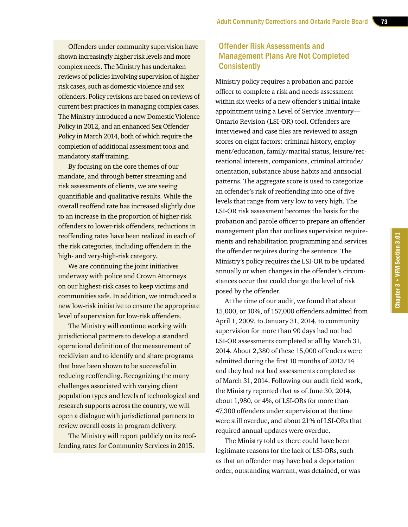Offenders under community supervision have shown increasingly higher risk levels and more complex needs. The Ministry has undertaken reviews of policies involving supervision of higherrisk cases, such as domestic violence and sex offenders. Policy revisions are based on reviews of current best practices in managing complex cases. The Ministry introduced a new Domestic Violence Policy in 2012, and an enhanced Sex Offender Policy in March 2014, both of which require the completion of additional assessment tools and mandatory staff training.

By focusing on the core themes of our mandate, and through better streaming and risk assessments of clients, we are seeing quantifiable and qualitative results. While the overall reoffend rate has increased slightly due to an increase in the proportion of higher-risk offenders to lower-risk offenders, reductions in reoffending rates have been realized in each of the risk categories, including offenders in the high- and very-high-risk category.

We are continuing the joint initiatives underway with police and Crown Attorneys on our highest-risk cases to keep victims and communities safe. In addition, we introduced a new low-risk initiative to ensure the appropriate level of supervision for low-risk offenders.

The Ministry will continue working with jurisdictional partners to develop a standard operational definition of the measurement of recidivism and to identify and share programs that have been shown to be successful in reducing reoffending. Recognizing the many challenges associated with varying client population types and levels of technological and research supports across the country, we will open a dialogue with jurisdictional partners to review overall costs in program delivery.

The Ministry will report publicly on its reoffending rates for Community Services in 2015.

#### Offender Risk Assessments and Management Plans Are Not Completed **Consistently**

Ministry policy requires a probation and parole officer to complete a risk and needs assessment within six weeks of a new offender's initial intake appointment using a Level of Service Inventory— Ontario Revision (LSI-OR) tool. Offenders are interviewed and case files are reviewed to assign scores on eight factors: criminal history, employment/education, family/marital status, leisure/recreational interests, companions, criminal attitude/ orientation, substance abuse habits and antisocial patterns. The aggregate score is used to categorize an offender's risk of reoffending into one of five levels that range from very low to very high. The LSI-OR risk assessment becomes the basis for the probation and parole officer to prepare an offender management plan that outlines supervision requirements and rehabilitation programming and services the offender requires during the sentence. The Ministry's policy requires the LSI-OR to be updated annually or when changes in the offender's circumstances occur that could change the level of risk posed by the offender.

At the time of our audit, we found that about 15,000, or 10%, of 157,000 offenders admitted from April 1, 2009, to January 31, 2014, to community supervision for more than 90 days had not had LSI-OR assessments completed at all by March 31, 2014. About 2,380 of these 15,000 offenders were admitted during the first 10 months of 2013/14 and they had not had assessments completed as of March 31, 2014. Following our audit field work, the Ministry reported that as of June 30, 2014, about 1,980, or 4%, of LSI-ORs for more than 47,300 offenders under supervision at the time were still overdue, and about 21% of LSI-ORs that required annual updates were overdue.

The Ministry told us there could have been legitimate reasons for the lack of LSI-ORs, such as that an offender may have had a deportation order, outstanding warrant, was detained, or was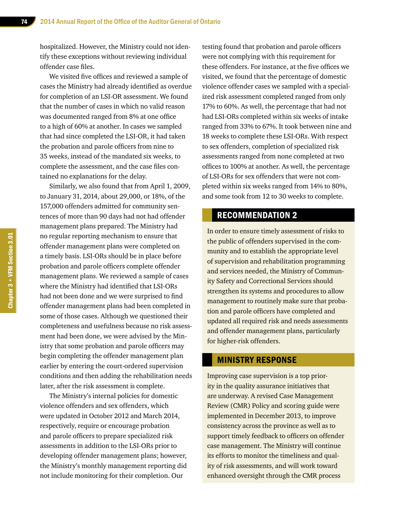hospitalized. However, the Ministry could not identify these exceptions without reviewing individual offender case files.

We visited five offices and reviewed a sample of cases the Ministry had already identified as overdue for completion of an LSI-OR assessment. We found that the number of cases in which no valid reason was documented ranged from 8% at one office to a high of 60% at another. In cases we sampled that had since completed the LSI-OR, it had taken the probation and parole officers from nine to 35 weeks, instead of the mandated six weeks, to complete the assessment, and the case files contained no explanations for the delay.

Similarly, we also found that from April 1, 2009, to January 31, 2014, about 29,000, or 18%, of the 157,000 offenders admitted for community sentences of more than 90 days had not had offender management plans prepared. The Ministry had no regular reporting mechanism to ensure that offender management plans were completed on a timely basis. LSI-ORs should be in place before probation and parole officers complete offender management plans. We reviewed a sample of cases where the Ministry had identified that LSI-ORs had not been done and we were surprised to find offender management plans had been completed in some of those cases. Although we questioned their completeness and usefulness because no risk assessment had been done, we were advised by the Ministry that some probation and parole officers may begin completing the offender management plan earlier by entering the court-ordered supervision conditions and then adding the rehabilitation needs later, after the risk assessment is complete.

The Ministry's internal policies for domestic violence offenders and sex offenders, which were updated in October 2012 and March 2014, respectively, require or encourage probation and parole officers to prepare specialized risk assessments in addition to the LSI-ORs prior to developing offender management plans; however, the Ministry's monthly management reporting did not include monitoring for their completion. Our

testing found that probation and parole officers were not complying with this requirement for these offenders. For instance, at the five offices we visited, we found that the percentage of domestic violence offender cases we sampled with a specialized risk assessment completed ranged from only 17% to 60%. As well, the percentage that had not had LSI-ORs completed within six weeks of intake ranged from 33% to 67%. It took between nine and 18 weeks to complete these LSI-ORs. With respect to sex offenders, completion of specialized risk assessments ranged from none completed at two offices to 100% at another. As well, the percentage of LSI-ORs for sex offenders that were not completed within six weeks ranged from 14% to 80%, and some took from 12 to 30 weeks to complete.

#### RECOMMENDATION 2

In order to ensure timely assessment of risks to the public of offenders supervised in the community and to establish the appropriate level of supervision and rehabilitation programming and services needed, the Ministry of Community Safety and Correctional Services should strengthen its systems and procedures to allow management to routinely make sure that probation and parole officers have completed and updated all required risk and needs assessments and offender management plans, particularly for higher-risk offenders.

#### MINISTRY RESPONSE

Improving case supervision is a top priority in the quality assurance initiatives that are underway. A revised Case Management Review (CMR) Policy and scoring guide were implemented in December 2013, to improve consistency across the province as well as to support timely feedback to officers on offender case management. The Ministry will continue its efforts to monitor the timeliness and quality of risk assessments, and will work toward enhanced oversight through the CMR process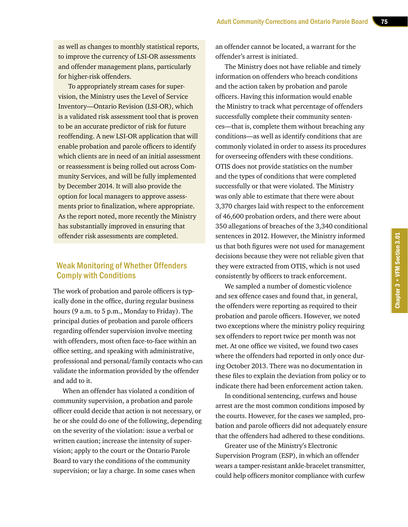as well as changes to monthly statistical reports, to improve the currency of LSI-OR assessments and offender management plans, particularly for higher-risk offenders.

To appropriately stream cases for supervision, the Ministry uses the Level of Service Inventory—Ontario Revision (LSI-OR), which is a validated risk assessment tool that is proven to be an accurate predictor of risk for future reoffending. A new LSI-OR application that will enable probation and parole officers to identify which clients are in need of an initial assessment or reassessment is being rolled out across Community Services, and will be fully implemented by December 2014. It will also provide the option for local managers to approve assessments prior to finalization, where appropriate. As the report noted, more recently the Ministry has substantially improved in ensuring that offender risk assessments are completed.

#### Weak Monitoring of Whether Offenders Comply with Conditions

The work of probation and parole officers is typically done in the office, during regular business hours (9 a.m. to 5 p.m., Monday to Friday). The principal duties of probation and parole officers regarding offender supervision involve meeting with offenders, most often face-to-face within an office setting, and speaking with administrative, professional and personal/family contacts who can validate the information provided by the offender and add to it.

When an offender has violated a condition of community supervision, a probation and parole officer could decide that action is not necessary, or he or she could do one of the following, depending on the severity of the violation: issue a verbal or written caution; increase the intensity of supervision; apply to the court or the Ontario Parole Board to vary the conditions of the community supervision; or lay a charge. In some cases when

an offender cannot be located, a warrant for the offender's arrest is initiated.

The Ministry does not have reliable and timely information on offenders who breach conditions and the action taken by probation and parole officers. Having this information would enable the Ministry to track what percentage of offenders successfully complete their community sentences—that is, complete them without breaching any conditions—as well as identify conditions that are commonly violated in order to assess its procedures for overseeing offenders with these conditions. OTIS does not provide statistics on the number and the types of conditions that were completed successfully or that were violated. The Ministry was only able to estimate that there were about 3,370 charges laid with respect to the enforcement of 46,600 probation orders, and there were about 350 allegations of breaches of the 3,340 conditional sentences in 2012. However, the Ministry informed us that both figures were not used for management decisions because they were not reliable given that they were extracted from OTIS, which is not used consistently by officers to track enforcement.

We sampled a number of domestic violence and sex offence cases and found that, in general, the offenders were reporting as required to their probation and parole officers. However, we noted two exceptions where the ministry policy requiring sex offenders to report twice per month was not met. At one office we visited, we found two cases where the offenders had reported in only once during October 2013. There was no documentation in these files to explain the deviation from policy or to indicate there had been enforcement action taken.

In conditional sentencing, curfews and house arrest are the most common conditions imposed by the courts. However, for the cases we sampled, probation and parole officers did not adequately ensure that the offenders had adhered to these conditions.

Greater use of the Ministry's Electronic Supervision Program (ESP), in which an offender wears a tamper-resistant ankle-bracelet transmitter, could help officers monitor compliance with curfew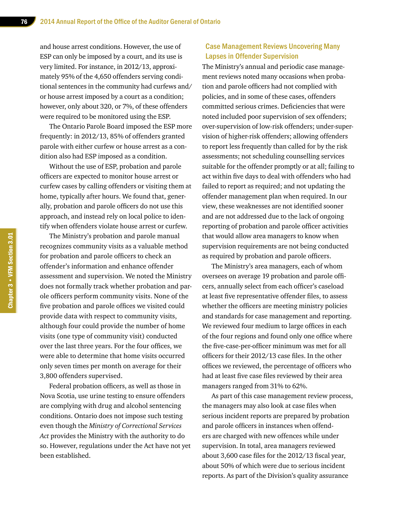and house arrest conditions. However, the use of ESP can only be imposed by a court, and its use is very limited. For instance, in 2012/13, approximately 95% of the 4,650 offenders serving conditional sentences in the community had curfews and/ or house arrest imposed by a court as a condition; however, only about 320, or 7%, of these offenders were required to be monitored using the ESP.

The Ontario Parole Board imposed the ESP more frequently: in 2012/13, 85% of offenders granted parole with either curfew or house arrest as a condition also had ESP imposed as a condition.

Without the use of ESP, probation and parole officers are expected to monitor house arrest or curfew cases by calling offenders or visiting them at home, typically after hours. We found that, generally, probation and parole officers do not use this approach, and instead rely on local police to identify when offenders violate house arrest or curfew.

The Ministry's probation and parole manual recognizes community visits as a valuable method for probation and parole officers to check an offender's information and enhance offender assessment and supervision. We noted the Ministry does not formally track whether probation and parole officers perform community visits. None of the five probation and parole offices we visited could provide data with respect to community visits, although four could provide the number of home visits (one type of community visit) conducted over the last three years. For the four offices, we were able to determine that home visits occurred only seven times per month on average for their 3,800 offenders supervised.

Federal probation officers, as well as those in Nova Scotia, use urine testing to ensure offenders are complying with drug and alcohol sentencing conditions. Ontario does not impose such testing even though the *Ministry of Correctional Services Act* provides the Ministry with the authority to do so. However, regulations under the Act have not yet been established.

#### Case Management Reviews Uncovering Many Lapses in Offender Supervision

The Ministry's annual and periodic case management reviews noted many occasions when probation and parole officers had not complied with policies, and in some of these cases, offenders committed serious crimes. Deficiencies that were noted included poor supervision of sex offenders; over-supervision of low-risk offenders; under-supervision of higher-risk offenders; allowing offenders to report less frequently than called for by the risk assessments; not scheduling counselling services suitable for the offender promptly or at all; failing to act within five days to deal with offenders who had failed to report as required; and not updating the offender management plan when required. In our view, these weaknesses are not identified sooner and are not addressed due to the lack of ongoing reporting of probation and parole officer activities that would allow area managers to know when supervision requirements are not being conducted as required by probation and parole officers.

The Ministry's area managers, each of whom oversees on average 19 probation and parole officers, annually select from each officer's caseload at least five representative offender files, to assess whether the officers are meeting ministry policies and standards for case management and reporting. We reviewed four medium to large offices in each of the four regions and found only one office where the five-case-per-officer minimum was met for all officers for their 2012/13 case files. In the other offices we reviewed, the percentage of officers who had at least five case files reviewed by their area managers ranged from 31% to 62%.

As part of this case management review process, the managers may also look at case files when serious incident reports are prepared by probation and parole officers in instances when offenders are charged with new offences while under supervision. In total, area managers reviewed about 3,600 case files for the 2012/13 fiscal year, about 50% of which were due to serious incident reports. As part of the Division's quality assurance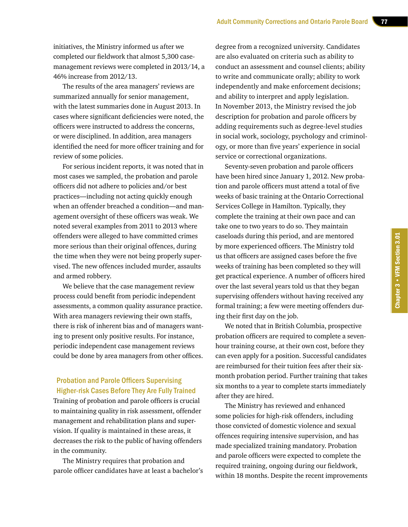initiatives, the Ministry informed us after we completed our fieldwork that almost 5,300 casemanagement reviews were completed in 2013/14, a 46% increase from 2012/13.

The results of the area managers' reviews are summarized annually for senior management, with the latest summaries done in August 2013. In cases where significant deficiencies were noted, the officers were instructed to address the concerns, or were disciplined. In addition, area managers identified the need for more officer training and for review of some policies.

For serious incident reports, it was noted that in most cases we sampled, the probation and parole officers did not adhere to policies and/or best practices—including not acting quickly enough when an offender breached a condition—and management oversight of these officers was weak. We noted several examples from 2011 to 2013 where offenders were alleged to have committed crimes more serious than their original offences, during the time when they were not being properly supervised. The new offences included murder, assaults and armed robbery.

We believe that the case management review process could benefit from periodic independent assessments, a common quality assurance practice. With area managers reviewing their own staffs, there is risk of inherent bias and of managers wanting to present only positive results. For instance, periodic independent case management reviews could be done by area managers from other offices.

#### Probation and Parole Officers Supervising Higher-risk Cases Before They Are Fully Trained

Training of probation and parole officers is crucial to maintaining quality in risk assessment, offender management and rehabilitation plans and supervision. If quality is maintained in these areas, it decreases the risk to the public of having offenders in the community.

The Ministry requires that probation and parole officer candidates have at least a bachelor's

degree from a recognized university. Candidates are also evaluated on criteria such as ability to conduct an assessment and counsel clients; ability to write and communicate orally; ability to work independently and make enforcement decisions; and ability to interpret and apply legislation. In November 2013, the Ministry revised the job description for probation and parole officers by adding requirements such as degree-level studies in social work, sociology, psychology and criminology, or more than five years' experience in social service or correctional organizations.

Seventy-seven probation and parole officers have been hired since January 1, 2012. New probation and parole officers must attend a total of five weeks of basic training at the Ontario Correctional Services College in Hamilton. Typically, they complete the training at their own pace and can take one to two years to do so. They maintain caseloads during this period, and are mentored by more experienced officers. The Ministry told us that officers are assigned cases before the five weeks of training has been completed so they will get practical experience. A number of officers hired over the last several years told us that they began supervising offenders without having received any formal training; a few were meeting offenders during their first day on the job.

We noted that in British Columbia, prospective probation officers are required to complete a sevenhour training course, at their own cost, before they can even apply for a position. Successful candidates are reimbursed for their tuition fees after their sixmonth probation period. Further training that takes six months to a year to complete starts immediately after they are hired.

The Ministry has reviewed and enhanced some policies for high-risk offenders, including those convicted of domestic violence and sexual offences requiring intensive supervision, and has made specialized training mandatory. Probation and parole officers were expected to complete the required training, ongoing during our fieldwork, within 18 months. Despite the recent improvements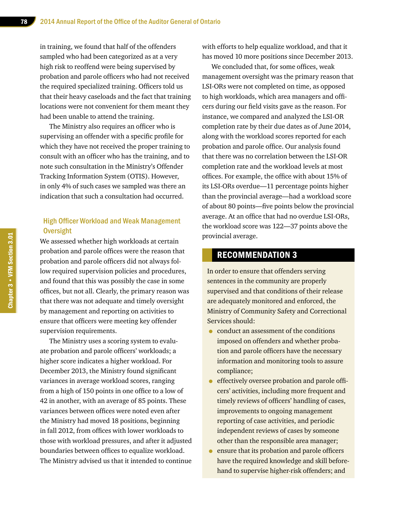in training, we found that half of the offenders sampled who had been categorized as at a very high risk to reoffend were being supervised by probation and parole officers who had not received the required specialized training. Officers told us that their heavy caseloads and the fact that training locations were not convenient for them meant they had been unable to attend the training.

The Ministry also requires an officer who is supervising an offender with a specific profile for which they have not received the proper training to consult with an officer who has the training, and to note such consultation in the Ministry's Offender Tracking Information System (OTIS). However, in only 4% of such cases we sampled was there an indication that such a consultation had occurred.

#### High Officer Workload and Weak Management **Oversight**

We assessed whether high workloads at certain probation and parole offices were the reason that probation and parole officers did not always follow required supervision policies and procedures, and found that this was possibly the case in some offices, but not all. Clearly, the primary reason was that there was not adequate and timely oversight by management and reporting on activities to ensure that officers were meeting key offender supervision requirements.

The Ministry uses a scoring system to evaluate probation and parole officers' workloads; a higher score indicates a higher workload. For December 2013, the Ministry found significant variances in average workload scores, ranging from a high of 150 points in one office to a low of 42 in another, with an average of 85 points. These variances between offices were noted even after the Ministry had moved 18 positions, beginning in fall 2012, from offices with lower workloads to those with workload pressures, and after it adjusted boundaries between offices to equalize workload. The Ministry advised us that it intended to continue with efforts to help equalize workload, and that it has moved 10 more positions since December 2013.

We concluded that, for some offices, weak management oversight was the primary reason that LSI-ORs were not completed on time, as opposed to high workloads, which area managers and officers during our field visits gave as the reason. For instance, we compared and analyzed the LSI-OR completion rate by their due dates as of June 2014, along with the workload scores reported for each probation and parole office. Our analysis found that there was no correlation between the LSI-OR completion rate and the workload levels at most offices. For example, the office with about 15% of its LSI-ORs overdue—11 percentage points higher than the provincial average—had a workload score of about 80 points—five points below the provincial average. At an office that had no overdue LSI-ORs, the workload score was 122—37 points above the provincial average.

#### RECOMMENDATION 3

In order to ensure that offenders serving sentences in the community are properly supervised and that conditions of their release are adequately monitored and enforced, the Ministry of Community Safety and Correctional Services should:

- conduct an assessment of the conditions imposed on offenders and whether probation and parole officers have the necessary information and monitoring tools to assure compliance;
- effectively oversee probation and parole officers' activities, including more frequent and timely reviews of officers' handling of cases, improvements to ongoing management reporting of case activities, and periodic independent reviews of cases by someone other than the responsible area manager;
- ensure that its probation and parole officers have the required knowledge and skill beforehand to supervise higher-risk offenders; and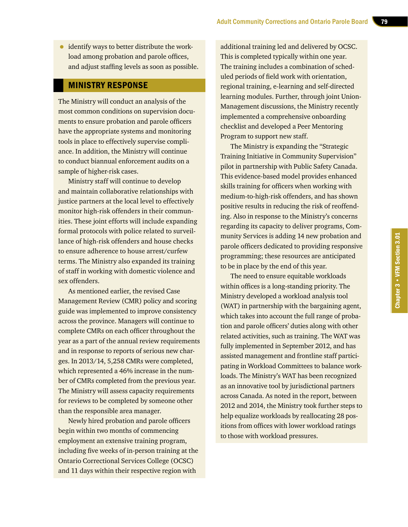• identify ways to better distribute the workload among probation and parole offices, and adjust staffing levels as soon as possible.

#### MINISTRY RESPONSE

The Ministry will conduct an analysis of the most common conditions on supervision documents to ensure probation and parole officers have the appropriate systems and monitoring tools in place to effectively supervise compliance. In addition, the Ministry will continue to conduct biannual enforcement audits on a sample of higher-risk cases.

Ministry staff will continue to develop and maintain collaborative relationships with justice partners at the local level to effectively monitor high-risk offenders in their communities. These joint efforts will include expanding formal protocols with police related to surveillance of high-risk offenders and house checks to ensure adherence to house arrest/curfew terms. The Ministry also expanded its training of staff in working with domestic violence and sex offenders.

As mentioned earlier, the revised Case Management Review (CMR) policy and scoring guide was implemented to improve consistency across the province. Managers will continue to complete CMRs on each officer throughout the year as a part of the annual review requirements and in response to reports of serious new charges. In 2013/14, 5,258 CMRs were completed, which represented a 46% increase in the number of CMRs completed from the previous year. The Ministry will assess capacity requirements for reviews to be completed by someone other than the responsible area manager.

Newly hired probation and parole officers begin within two months of commencing employment an extensive training program, including five weeks of in-person training at the Ontario Correctional Services College (OCSC) and 11 days within their respective region with

additional training led and delivered by OCSC. This is completed typically within one year. The training includes a combination of scheduled periods of field work with orientation, regional training, e-learning and self-directed learning modules. Further, through joint Union-Management discussions, the Ministry recently implemented a comprehensive onboarding checklist and developed a Peer Mentoring Program to support new staff.

The Ministry is expanding the "Strategic Training Initiative in Community Supervision" pilot in partnership with Public Safety Canada. This evidence-based model provides enhanced skills training for officers when working with medium-to-high-risk offenders, and has shown positive results in reducing the risk of reoffending. Also in response to the Ministry's concerns regarding its capacity to deliver programs, Community Services is adding 14 new probation and parole officers dedicated to providing responsive programming; these resources are anticipated to be in place by the end of this year.

The need to ensure equitable workloads within offices is a long-standing priority. The Ministry developed a workload analysis tool (WAT) in partnership with the bargaining agent, which takes into account the full range of probation and parole officers' duties along with other related activities, such as training. The WAT was fully implemented in September 2012, and has assisted management and frontline staff participating in Workload Committees to balance workloads. The Ministry's WAT has been recognized as an innovative tool by jurisdictional partners across Canada. As noted in the report, between 2012 and 2014, the Ministry took further steps to help equalize workloads by reallocating 28 positions from offices with lower workload ratings to those with workload pressures.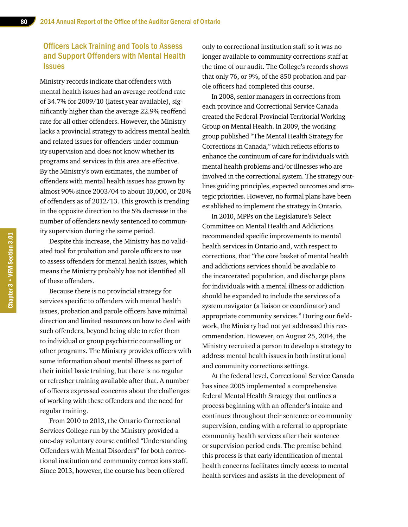#### Officers Lack Training and Tools to Assess and Support Offenders with Mental Health **Issues**

Ministry records indicate that offenders with mental health issues had an average reoffend rate of 34.7% for 2009/10 (latest year available), significantly higher than the average 22.9% reoffend rate for all other offenders. However, the Ministry lacks a provincial strategy to address mental health and related issues for offenders under community supervision and does not know whether its programs and services in this area are effective. By the Ministry's own estimates, the number of offenders with mental health issues has grown by almost 90% since 2003/04 to about 10,000, or 20% of offenders as of 2012/13. This growth is trending in the opposite direction to the 5% decrease in the number of offenders newly sentenced to community supervision during the same period.

Despite this increase, the Ministry has no validated tool for probation and parole officers to use to assess offenders for mental health issues, which means the Ministry probably has not identified all of these offenders.

Because there is no provincial strategy for services specific to offenders with mental health issues, probation and parole officers have minimal direction and limited resources on how to deal with such offenders, beyond being able to refer them to individual or group psychiatric counselling or other programs. The Ministry provides officers with some information about mental illness as part of their initial basic training, but there is no regular or refresher training available after that. A number of officers expressed concerns about the challenges of working with these offenders and the need for regular training.

From 2010 to 2013, the Ontario Correctional Services College run by the Ministry provided a one-day voluntary course entitled "Understanding Offenders with Mental Disorders" for both correctional institution and community corrections staff. Since 2013, however, the course has been offered

only to correctional institution staff so it was no longer available to community corrections staff at the time of our audit. The College's records shows that only 76, or 9%, of the 850 probation and parole officers had completed this course.

In 2008, senior managers in corrections from each province and Correctional Service Canada created the Federal-Provincial-Territorial Working Group on Mental Health. In 2009, the working group published "The Mental Health Strategy for Corrections in Canada," which reflects efforts to enhance the continuum of care for individuals with mental health problems and/or illnesses who are involved in the correctional system. The strategy outlines guiding principles, expected outcomes and strategic priorities. However, no formal plans have been established to implement the strategy in Ontario.

In 2010, MPPs on the Legislature's Select Committee on Mental Health and Addictions recommended specific improvements to mental health services in Ontario and, with respect to corrections, that "the core basket of mental health and addictions services should be available to the incarcerated population, and discharge plans for individuals with a mental illness or addiction should be expanded to include the services of a system navigator (a liaison or coordinator) and appropriate community services." During our fieldwork, the Ministry had not yet addressed this recommendation. However, on August 25, 2014, the Ministry recruited a person to develop a strategy to address mental health issues in both institutional and community corrections settings.

At the federal level, Correctional Service Canada has since 2005 implemented a comprehensive federal Mental Health Strategy that outlines a process beginning with an offender's intake and continues throughout their sentence or community supervision, ending with a referral to appropriate community health services after their sentence or supervision period ends. The premise behind this process is that early identification of mental health concerns facilitates timely access to mental health services and assists in the development of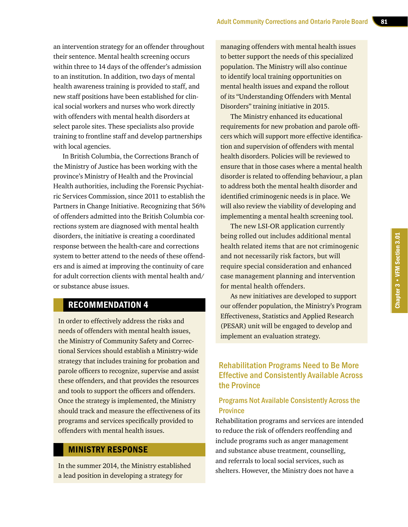an intervention strategy for an offender throughout their sentence. Mental health screening occurs within three to 14 days of the offender's admission to an institution. In addition, two days of mental health awareness training is provided to staff, and new staff positions have been established for clinical social workers and nurses who work directly with offenders with mental health disorders at select parole sites. These specialists also provide training to frontline staff and develop partnerships with local agencies.

In British Columbia, the Corrections Branch of the Ministry of Justice has been working with the province's Ministry of Health and the Provincial Health authorities, including the Forensic Psychiatric Services Commission, since 2011 to establish the Partners in Change Initiative. Recognizing that 56% of offenders admitted into the British Columbia corrections system are diagnosed with mental health disorders, the initiative is creating a coordinated response between the health-care and corrections system to better attend to the needs of these offenders and is aimed at improving the continuity of care for adult correction clients with mental health and/ or substance abuse issues.

#### RECOMMENDATION 4

In order to effectively address the risks and needs of offenders with mental health issues, the Ministry of Community Safety and Correctional Services should establish a Ministry-wide strategy that includes training for probation and parole officers to recognize, supervise and assist these offenders, and that provides the resources and tools to support the officers and offenders. Once the strategy is implemented, the Ministry should track and measure the effectiveness of its programs and services specifically provided to offenders with mental health issues.

#### MINISTRY RESPONSE

In the summer 2014, the Ministry established a lead position in developing a strategy for

managing offenders with mental health issues to better support the needs of this specialized population. The Ministry will also continue to identify local training opportunities on mental health issues and expand the rollout of its "Understanding Offenders with Mental Disorders" training initiative in 2015.

The Ministry enhanced its educational requirements for new probation and parole officers which will support more effective identification and supervision of offenders with mental health disorders. Policies will be reviewed to ensure that in those cases where a mental health disorder is related to offending behaviour, a plan to address both the mental health disorder and identified criminogenic needs is in place. We will also review the viability of developing and implementing a mental health screening tool.

The new LSI-OR application currently being rolled out includes additional mental health related items that are not criminogenic and not necessarily risk factors, but will require special consideration and enhanced case management planning and intervention for mental health offenders.

As new initiatives are developed to support our offender population, the Ministry's Program Effectiveness, Statistics and Applied Research (PESAR) unit will be engaged to develop and implement an evaluation strategy.

#### Rehabilitation Programs Need to Be More Effective and Consistently Available Across the Province

#### Programs Not Available Consistently Across the **Province**

Rehabilitation programs and services are intended to reduce the risk of offenders reoffending and include programs such as anger management and substance abuse treatment, counselling, and referrals to local social services, such as shelters. However, the Ministry does not have a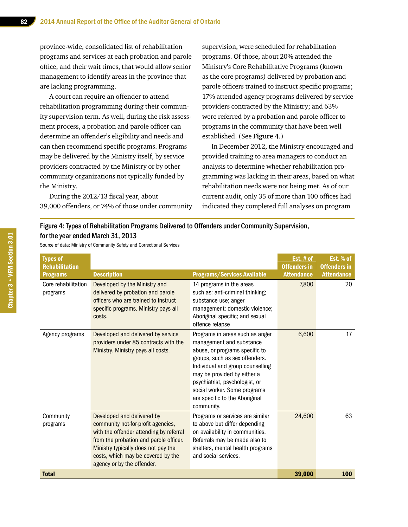province-wide, consolidated list of rehabilitation programs and services at each probation and parole office, and their wait times, that would allow senior management to identify areas in the province that are lacking programming.

A court can require an offender to attend rehabilitation programming during their community supervision term. As well, during the risk assessment process, a probation and parole officer can determine an offender's eligibility and needs and can then recommend specific programs. Programs may be delivered by the Ministry itself, by service providers contracted by the Ministry or by other community organizations not typically funded by the Ministry.

During the 2012/13 fiscal year, about 39,000 offenders, or 74% of those under community supervision, were scheduled for rehabilitation programs. Of those, about 20% attended the Ministry's Core Rehabilitative Programs (known as the core programs) delivered by probation and parole officers trained to instruct specific programs; 17% attended agency programs delivered by service providers contracted by the Ministry; and 63% were referred by a probation and parole officer to programs in the community that have been well established. (See **Figure 4**.)

In December 2012, the Ministry encouraged and provided training to area managers to conduct an analysis to determine whether rehabilitation programming was lacking in their areas, based on what rehabilitation needs were not being met. As of our current audit, only 35 of more than 100 offices had indicated they completed full analyses on program

#### Figure 4: Types of Rehabilitation Programs Delivered to Offenders under Community Supervision, for the year ended March 31, 2013

Source of data: Ministry of Community Safety and Correctional Services

| <b>Types of</b><br><b>Rehabilitation</b> |                                                                                                                                                                                                                                                                  |                                                                                                                                                                                                                                                                                                                      | Est. # of<br><b>Offenders in</b> | Est. % of<br><b>Offenders in</b> |
|------------------------------------------|------------------------------------------------------------------------------------------------------------------------------------------------------------------------------------------------------------------------------------------------------------------|----------------------------------------------------------------------------------------------------------------------------------------------------------------------------------------------------------------------------------------------------------------------------------------------------------------------|----------------------------------|----------------------------------|
| <b>Programs</b>                          | <b>Description</b>                                                                                                                                                                                                                                               | <b>Programs/Services Available</b>                                                                                                                                                                                                                                                                                   | <b>Attendance</b>                | <b>Attendance</b>                |
| Core rehabilitation<br>programs          | Developed by the Ministry and<br>delivered by probation and parole<br>officers who are trained to instruct<br>specific programs. Ministry pays all<br>costs.                                                                                                     | 14 programs in the areas<br>such as: anti-criminal thinking;<br>substance use; anger<br>management; domestic violence;<br>Aboriginal specific; and sexual<br>offence relapse                                                                                                                                         | 7,800                            | 20                               |
| Agency programs                          | Developed and delivered by service<br>providers under 85 contracts with the<br>Ministry. Ministry pays all costs.                                                                                                                                                | Programs in areas such as anger<br>management and substance<br>abuse, or programs specific to<br>groups, such as sex offenders.<br>Individual and group counselling<br>may be provided by either a<br>psychiatrist, psychologist, or<br>social worker. Some programs<br>are specific to the Aboriginal<br>community. | 6,600                            | 17                               |
| Community<br>programs                    | Developed and delivered by<br>community not-for-profit agencies,<br>with the offender attending by referral<br>from the probation and parole officer.<br>Ministry typically does not pay the<br>costs, which may be covered by the<br>agency or by the offender. | Programs or services are similar<br>to above but differ depending<br>on availability in communities.<br>Referrals may be made also to<br>shelters, mental health programs<br>and social services.                                                                                                                    | 24,600                           | 63                               |
| <b>Total</b>                             |                                                                                                                                                                                                                                                                  |                                                                                                                                                                                                                                                                                                                      | 39,000                           | 100                              |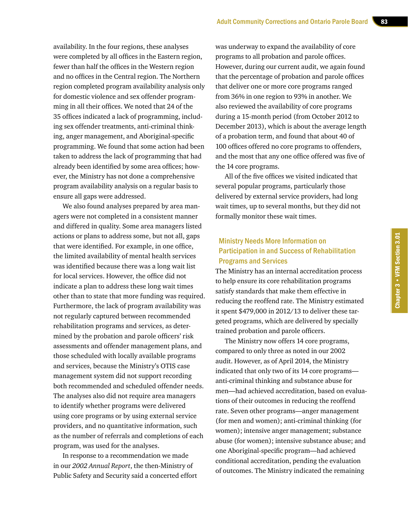availability. In the four regions, these analyses were completed by all offices in the Eastern region, fewer than half the offices in the Western region and no offices in the Central region. The Northern region completed program availability analysis only for domestic violence and sex offender programming in all their offices. We noted that 24 of the 35 offices indicated a lack of programming, including sex offender treatments, anti-criminal thinking, anger management, and Aboriginal-specific programming. We found that some action had been taken to address the lack of programming that had already been identified by some area offices; however, the Ministry has not done a comprehensive program availability analysis on a regular basis to ensure all gaps were addressed.

We also found analyses prepared by area managers were not completed in a consistent manner and differed in quality. Some area managers listed actions or plans to address some, but not all, gaps that were identified. For example, in one office, the limited availability of mental health services was identified because there was a long wait list for local services. However, the office did not indicate a plan to address these long wait times other than to state that more funding was required. Furthermore, the lack of program availability was not regularly captured between recommended rehabilitation programs and services, as determined by the probation and parole officers' risk assessments and offender management plans, and those scheduled with locally available programs and services, because the Ministry's OTIS case management system did not support recording both recommended and scheduled offender needs. The analyses also did not require area managers to identify whether programs were delivered using core programs or by using external service providers, and no quantitative information, such as the number of referrals and completions of each program, was used for the analyses.

In response to a recommendation we made in our *2002 Annual Report*, the then-Ministry of Public Safety and Security said a concerted effort was underway to expand the availability of core programs to all probation and parole offices. However, during our current audit, we again found that the percentage of probation and parole offices that deliver one or more core programs ranged from 36% in one region to 93% in another. We also reviewed the availability of core programs during a 15-month period (from October 2012 to December 2013), which is about the average length of a probation term, and found that about 40 of 100 offices offered no core programs to offenders, and the most that any one office offered was five of the 14 core programs.

All of the five offices we visited indicated that several popular programs, particularly those delivered by external service providers, had long wait times, up to several months, but they did not formally monitor these wait times.

#### Ministry Needs More Information on Participation in and Success of Rehabilitation Programs and Services

The Ministry has an internal accreditation process to help ensure its core rehabilitation programs satisfy standards that make them effective in reducing the reoffend rate. The Ministry estimated it spent \$479,000 in 2012/13 to deliver these targeted programs, which are delivered by specially trained probation and parole officers.

The Ministry now offers 14 core programs, compared to only three as noted in our 2002 audit. However, as of April 2014, the Ministry indicated that only two of its 14 core programs anti-criminal thinking and substance abuse for men—had achieved accreditation, based on evaluations of their outcomes in reducing the reoffend rate. Seven other programs—anger management (for men and women); anti-criminal thinking (for women); intensive anger management; substance abuse (for women); intensive substance abuse; and one Aboriginal-specific program—had achieved conditional accreditation, pending the evaluation of outcomes. The Ministry indicated the remaining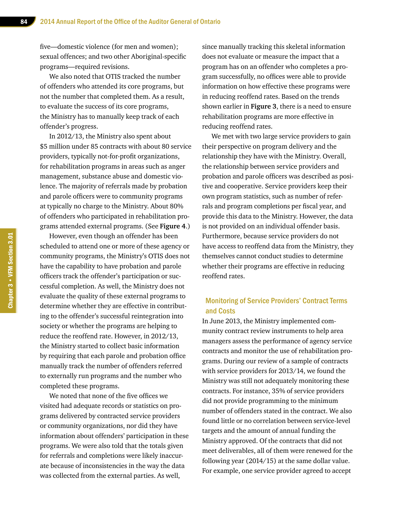five—domestic violence (for men and women); sexual offences; and two other Aboriginal-specific programs—required revisions.

We also noted that OTIS tracked the number of offenders who attended its core programs, but not the number that completed them. As a result, to evaluate the success of its core programs, the Ministry has to manually keep track of each offender's progress.

In 2012/13, the Ministry also spent about \$5 million under 85 contracts with about 80 service providers, typically not-for-profit organizations, for rehabilitation programs in areas such as anger management, substance abuse and domestic violence. The majority of referrals made by probation and parole officers were to community programs at typically no charge to the Ministry. About 80% of offenders who participated in rehabilitation programs attended external programs. (See **Figure 4**.)

However, even though an offender has been scheduled to attend one or more of these agency or community programs, the Ministry's OTIS does not have the capability to have probation and parole officers track the offender's participation or successful completion. As well, the Ministry does not evaluate the quality of these external programs to determine whether they are effective in contributing to the offender's successful reintegration into society or whether the programs are helping to reduce the reoffend rate. However, in 2012/13, the Ministry started to collect basic information by requiring that each parole and probation office manually track the number of offenders referred to externally run programs and the number who completed these programs.

We noted that none of the five offices we visited had adequate records or statistics on programs delivered by contracted service providers or community organizations, nor did they have information about offenders' participation in these programs. We were also told that the totals given for referrals and completions were likely inaccurate because of inconsistencies in the way the data was collected from the external parties. As well,

since manually tracking this skeletal information does not evaluate or measure the impact that a program has on an offender who completes a program successfully, no offices were able to provide information on how effective these programs were in reducing reoffend rates. Based on the trends shown earlier in **Figure 3**, there is a need to ensure rehabilitation programs are more effective in reducing reoffend rates.

We met with two large service providers to gain their perspective on program delivery and the relationship they have with the Ministry. Overall, the relationship between service providers and probation and parole officers was described as positive and cooperative. Service providers keep their own program statistics, such as number of referrals and program completions per fiscal year, and provide this data to the Ministry. However, the data is not provided on an individual offender basis. Furthermore, because service providers do not have access to reoffend data from the Ministry, they themselves cannot conduct studies to determine whether their programs are effective in reducing reoffend rates.

#### Monitoring of Service Providers' Contract Terms and Costs

In June 2013, the Ministry implemented community contract review instruments to help area managers assess the performance of agency service contracts and monitor the use of rehabilitation programs. During our review of a sample of contracts with service providers for 2013/14, we found the Ministry was still not adequately monitoring these contracts. For instance, 35% of service providers did not provide programming to the minimum number of offenders stated in the contract. We also found little or no correlation between service-level targets and the amount of annual funding the Ministry approved. Of the contracts that did not meet deliverables, all of them were renewed for the following year (2014/15) at the same dollar value. For example, one service provider agreed to accept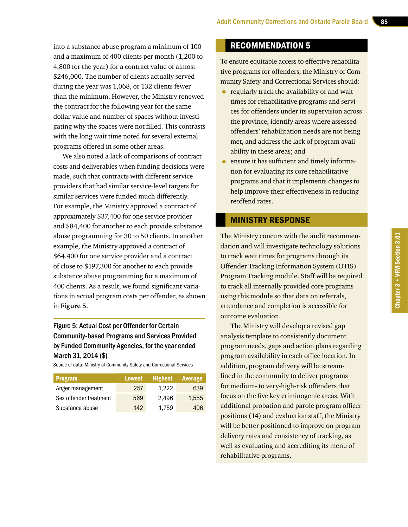into a substance abuse program a minimum of 100 and a maximum of 400 clients per month (1,200 to 4,800 for the year) for a contract value of almost \$246,000. The number of clients actually served during the year was 1,068, or 132 clients fewer than the minimum. However, the Ministry renewed the contract for the following year for the same dollar value and number of spaces without investigating why the spaces were not filled. This contrasts with the long wait time noted for several external programs offered in some other areas.

We also noted a lack of comparisons of contract costs and deliverables when funding decisions were made, such that contracts with different service providers that had similar service-level targets for similar services were funded much differently. For example, the Ministry approved a contract of approximately \$37,400 for one service provider and \$84,400 for another to each provide substance abuse programming for 30 to 50 clients. In another example, the Ministry approved a contract of \$64,400 for one service provider and a contract of close to \$197,300 for another to each provide substance abuse programming for a maximum of 400 clients. As a result, we found significant variations in actual program costs per offender, as shown in **Figure 5**.

#### Figure 5: Actual Cost per Offender for Certain Community-based Programs and Services Provided by Funded Community Agencies, for the year ended March 31, 2014 (\$)

Source of data: Ministry of Community Safety and Correctional Services

| <b>Program</b>         | <b>Lowest</b> | <b>Highest</b> | Average |
|------------------------|---------------|----------------|---------|
| Anger management       | 257           | 1.222          | 639     |
| Sex offender treatment | 569           | 2.496          | 1.555   |
| Substance abuse        | 142           | 1.759          | 406     |

#### RECOMMENDATION 5

To ensure equitable access to effective rehabilitative programs for offenders, the Ministry of Community Safety and Correctional Services should:

- regularly track the availability of and wait times for rehabilitative programs and services for offenders under its supervision across the province, identify areas where assessed offenders' rehabilitation needs are not being met, and address the lack of program availability in these areas; and
- ensure it has sufficient and timely information for evaluating its core rehabilitative programs and that it implements changes to help improve their effectiveness in reducing reoffend rates.

#### MINISTRY RESPONSE

The Ministry concurs with the audit recommendation and will investigate technology solutions to track wait times for programs through its Offender Tracking Information System (OTIS) Program Tracking module. Staff will be required to track all internally provided core programs using this module so that data on referrals, attendance and completion is accessible for outcome evaluation.

The Ministry will develop a revised gap analysis template to consistently document program needs, gaps and action plans regarding program availability in each office location. In addition, program delivery will be streamlined in the community to deliver programs for medium- to very-high-risk offenders that focus on the five key criminogenic areas. With additional probation and parole program officer positions (14) and evaluation staff, the Ministry will be better positioned to improve on program delivery rates and consistency of tracking, as well as evaluating and accrediting its menu of rehabilitative programs.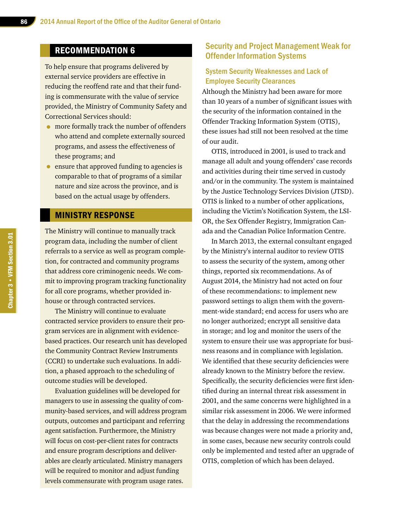#### RECOMMENDATION 6

To help ensure that programs delivered by external service providers are effective in reducing the reoffend rate and that their funding is commensurate with the value of service provided, the Ministry of Community Safety and Correctional Services should:

- more formally track the number of offenders who attend and complete externally sourced programs, and assess the effectiveness of these programs; and
- ensure that approved funding to agencies is comparable to that of programs of a similar nature and size across the province, and is based on the actual usage by offenders.

#### MINISTRY RESPONSE

The Ministry will continue to manually track program data, including the number of client referrals to a service as well as program completion, for contracted and community programs that address core criminogenic needs. We commit to improving program tracking functionality for all core programs, whether provided inhouse or through contracted services.

The Ministry will continue to evaluate contracted service providers to ensure their program services are in alignment with evidencebased practices. Our research unit has developed the Community Contract Review Instruments (CCRI) to undertake such evaluations. In addition, a phased approach to the scheduling of outcome studies will be developed.

Evaluation guidelines will be developed for managers to use in assessing the quality of community-based services, and will address program outputs, outcomes and participant and referring agent satisfaction. Furthermore, the Ministry will focus on cost-per-client rates for contracts and ensure program descriptions and deliverables are clearly articulated. Ministry managers will be required to monitor and adjust funding levels commensurate with program usage rates.

#### Security and Project Management Weak for Offender Information Systems

#### System Security Weaknesses and Lack of Employee Security Clearances

Although the Ministry had been aware for more than 10 years of a number of significant issues with the security of the information contained in the Offender Tracking Information System (OTIS), these issues had still not been resolved at the time of our audit.

OTIS, introduced in 2001, is used to track and manage all adult and young offenders' case records and activities during their time served in custody and/or in the community. The system is maintained by the Justice Technology Services Division (JTSD). OTIS is linked to a number of other applications, including the Victim's Notification System, the LSI-OR, the Sex Offender Registry, Immigration Canada and the Canadian Police Information Centre.

In March 2013, the external consultant engaged by the Ministry's internal auditor to review OTIS to assess the security of the system, among other things, reported six recommendations. As of August 2014, the Ministry had not acted on four of these recommendations: to implement new password settings to align them with the government-wide standard; end access for users who are no longer authorized; encrypt all sensitive data in storage; and log and monitor the users of the system to ensure their use was appropriate for business reasons and in compliance with legislation. We identified that these security deficiencies were already known to the Ministry before the review. Specifically, the security deficiencies were first identified during an internal threat risk assessment in 2001, and the same concerns were highlighted in a similar risk assessment in 2006. We were informed that the delay in addressing the recommendations was because changes were not made a priority and, in some cases, because new security controls could only be implemented and tested after an upgrade of OTIS, completion of which has been delayed.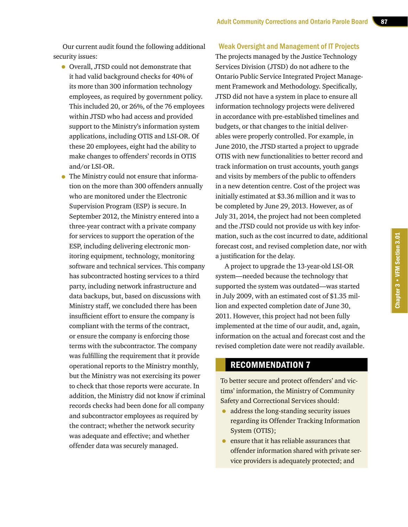Our current audit found the following additional security issues:

- Overall, JTSD could not demonstrate that it had valid background checks for 40% of its more than 300 information technology employees, as required by government policy. This included 20, or 26%, of the 76 employees within JTSD who had access and provided support to the Ministry's information system applications, including OTIS and LSI-OR. Of these 20 employees, eight had the ability to make changes to offenders' records in OTIS and/or LSI-OR.
- The Ministry could not ensure that information on the more than 300 offenders annually who are monitored under the Electronic Supervision Program (ESP) is secure. In September 2012, the Ministry entered into a three-year contract with a private company for services to support the operation of the ESP, including delivering electronic monitoring equipment, technology, monitoring software and technical services. This company has subcontracted hosting services to a third party, including network infrastructure and data backups, but, based on discussions with Ministry staff, we concluded there has been insufficient effort to ensure the company is compliant with the terms of the contract, or ensure the company is enforcing those terms with the subcontractor. The company was fulfilling the requirement that it provide operational reports to the Ministry monthly, but the Ministry was not exercising its power to check that those reports were accurate. In addition, the Ministry did not know if criminal records checks had been done for all company and subcontractor employees as required by the contract; whether the network security was adequate and effective; and whether offender data was securely managed.

#### Weak Oversight and Management of IT Projects

The projects managed by the Justice Technology Services Division (JTSD) do not adhere to the Ontario Public Service Integrated Project Management Framework and Methodology. Specifically, JTSD did not have a system in place to ensure all information technology projects were delivered in accordance with pre-established timelines and budgets, or that changes to the initial deliverables were properly controlled. For example, in June 2010, the JTSD started a project to upgrade OTIS with new functionalities to better record and track information on trust accounts, youth gangs and visits by members of the public to offenders in a new detention centre. Cost of the project was initially estimated at \$3.36 million and it was to be completed by June 29, 2013. However, as of July 31, 2014, the project had not been completed and the JTSD could not provide us with key information, such as the cost incurred to date, additional forecast cost, and revised completion date, nor with a justification for the delay.

A project to upgrade the 13-year-old LSI-OR system—needed because the technology that supported the system was outdated—was started in July 2009, with an estimated cost of \$1.35 million and expected completion date of June 30, 2011. However, this project had not been fully implemented at the time of our audit, and, again, information on the actual and forecast cost and the revised completion date were not readily available.

#### RECOMMENDATION 7

To better secure and protect offenders' and victims' information, the Ministry of Community Safety and Correctional Services should:

- address the long-standing security issues regarding its Offender Tracking Information System (OTIS);
- ensure that it has reliable assurances that offender information shared with private service providers is adequately protected; and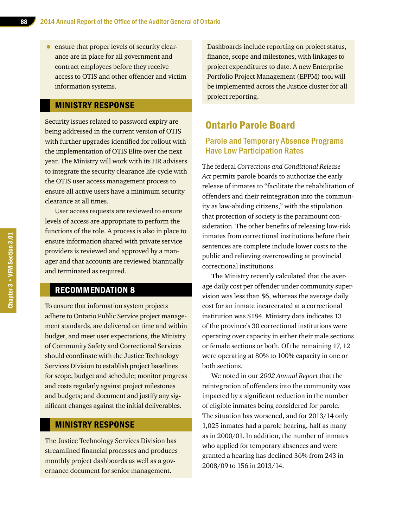• ensure that proper levels of security clearance are in place for all government and contract employees before they receive access to OTIS and other offender and victim information systems.

#### MINISTRY RESPONSE

Security issues related to password expiry are being addressed in the current version of OTIS with further upgrades identified for rollout with the implementation of OTIS Elite over the next year. The Ministry will work with its HR advisers to integrate the security clearance life-cycle with the OTIS user access management process to ensure all active users have a minimum security clearance at all times.

User access requests are reviewed to ensure levels of access are appropriate to perform the functions of the role. A process is also in place to ensure information shared with private service providers is reviewed and approved by a manager and that accounts are reviewed biannually and terminated as required.

#### RECOMMENDATION 8

To ensure that information system projects adhere to Ontario Public Service project management standards, are delivered on time and within budget, and meet user expectations, the Ministry of Community Safety and Correctional Services should coordinate with the Justice Technology Services Division to establish project baselines for scope, budget and schedule; monitor progress and costs regularly against project milestones and budgets; and document and justify any significant changes against the initial deliverables.

#### MINISTRY RESPONSE

The Justice Technology Services Division has streamlined financial processes and produces monthly project dashboards as well as a governance document for senior management.

Dashboards include reporting on project status, finance, scope and milestones, with linkages to project expenditures to date. A new Enterprise Portfolio Project Management (EPPM) tool will be implemented across the Justice cluster for all project reporting.

#### Ontario Parole Board

#### Parole and Temporary Absence Programs Have Low Participation Rates

The federal *Corrections and Conditional Release Act* permits parole boards to authorize the early release of inmates to "facilitate the rehabilitation of offenders and their reintegration into the community as law-abiding citizens," with the stipulation that protection of society is the paramount consideration. The other benefits of releasing low-risk inmates from correctional institutions before their sentences are complete include lower costs to the public and relieving overcrowding at provincial correctional institutions.

The Ministry recently calculated that the average daily cost per offender under community supervision was less than \$6, whereas the average daily cost for an inmate incarcerated at a correctional institution was \$184. Ministry data indicates 13 of the province's 30 correctional institutions were operating over capacity in either their male sections or female sections or both. Of the remaining 17, 12 were operating at 80% to 100% capacity in one or both sections.

We noted in our *2002 Annual Report* that the reintegration of offenders into the community was impacted by a significant reduction in the number of eligible inmates being considered for parole. The situation has worsened, and for 2013/14 only 1,025 inmates had a parole hearing, half as many as in 2000/01. In addition, the number of inmates who applied for temporary absences and were granted a hearing has declined 36% from 243 in 2008/09 to 156 in 2013/14.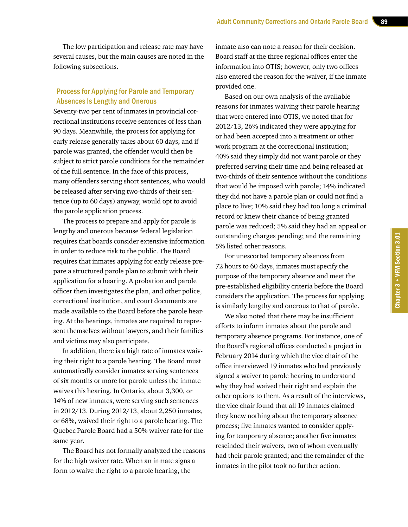The low participation and release rate may have several causes, but the main causes are noted in the following subsections.

#### Process for Applying for Parole and Temporary Absences Is Lengthy and Onerous

Seventy-two per cent of inmates in provincial correctional institutions receive sentences of less than 90 days. Meanwhile, the process for applying for early release generally takes about 60 days, and if parole was granted, the offender would then be subject to strict parole conditions for the remainder of the full sentence. In the face of this process, many offenders serving short sentences, who would be released after serving two-thirds of their sentence (up to 60 days) anyway, would opt to avoid the parole application process.

The process to prepare and apply for parole is lengthy and onerous because federal legislation requires that boards consider extensive information in order to reduce risk to the public. The Board requires that inmates applying for early release prepare a structured parole plan to submit with their application for a hearing. A probation and parole officer then investigates the plan, and other police, correctional institution, and court documents are made available to the Board before the parole hearing. At the hearings, inmates are required to represent themselves without lawyers, and their families and victims may also participate.

In addition, there is a high rate of inmates waiving their right to a parole hearing. The Board must automatically consider inmates serving sentences of six months or more for parole unless the inmate waives this hearing. In Ontario, about 3,300, or 14% of new inmates, were serving such sentences in 2012/13. During 2012/13, about 2,250 inmates, or 68%, waived their right to a parole hearing. The Quebec Parole Board had a 50% waiver rate for the same year.

The Board has not formally analyzed the reasons for the high waiver rate. When an inmate signs a form to waive the right to a parole hearing, the

inmate also can note a reason for their decision. Board staff at the three regional offices enter the information into OTIS; however, only two offices also entered the reason for the waiver, if the inmate provided one.

Based on our own analysis of the available reasons for inmates waiving their parole hearing that were entered into OTIS, we noted that for 2012/13, 26% indicated they were applying for or had been accepted into a treatment or other work program at the correctional institution; 40% said they simply did not want parole or they preferred serving their time and being released at two-thirds of their sentence without the conditions that would be imposed with parole; 14% indicated they did not have a parole plan or could not find a place to live; 10% said they had too long a criminal record or knew their chance of being granted parole was reduced; 5% said they had an appeal or outstanding charges pending; and the remaining 5% listed other reasons.

For unescorted temporary absences from 72 hours to 60 days, inmates must specify the purpose of the temporary absence and meet the pre-established eligibility criteria before the Board considers the application. The process for applying is similarly lengthy and onerous to that of parole.

We also noted that there may be insufficient efforts to inform inmates about the parole and temporary absence programs. For instance, one of the Board's regional offices conducted a project in February 2014 during which the vice chair of the office interviewed 19 inmates who had previously signed a waiver to parole hearing to understand why they had waived their right and explain the other options to them. As a result of the interviews, the vice chair found that all 19 inmates claimed they knew nothing about the temporary absence process; five inmates wanted to consider applying for temporary absence; another five inmates rescinded their waivers, two of whom eventually had their parole granted; and the remainder of the inmates in the pilot took no further action.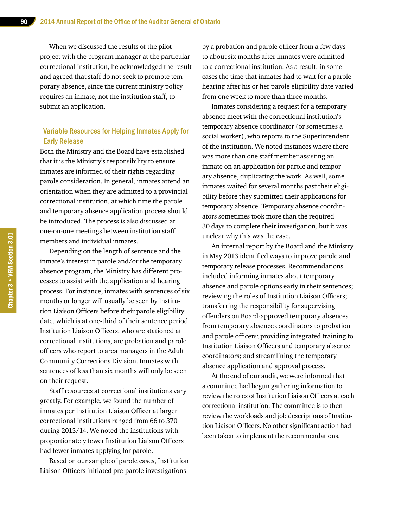When we discussed the results of the pilot project with the program manager at the particular correctional institution, he acknowledged the result and agreed that staff do not seek to promote temporary absence, since the current ministry policy requires an inmate, not the institution staff, to submit an application.

#### Variable Resources for Helping Inmates Apply for Early Release

Both the Ministry and the Board have established that it is the Ministry's responsibility to ensure inmates are informed of their rights regarding parole consideration. In general, inmates attend an orientation when they are admitted to a provincial correctional institution, at which time the parole and temporary absence application process should be introduced. The process is also discussed at one-on-one meetings between institution staff members and individual inmates.

Depending on the length of sentence and the inmate's interest in parole and/or the temporary absence program, the Ministry has different processes to assist with the application and hearing process. For instance, inmates with sentences of six months or longer will usually be seen by Institution Liaison Officers before their parole eligibility date, which is at one-third of their sentence period. Institution Liaison Officers, who are stationed at correctional institutions, are probation and parole officers who report to area managers in the Adult Community Corrections Division. Inmates with sentences of less than six months will only be seen on their request.

Staff resources at correctional institutions vary greatly. For example, we found the number of inmates per Institution Liaison Officer at larger correctional institutions ranged from 66 to 370 during 2013/14. We noted the institutions with proportionately fewer Institution Liaison Officers had fewer inmates applying for parole.

Based on our sample of parole cases, Institution Liaison Officers initiated pre-parole investigations

by a probation and parole officer from a few days to about six months after inmates were admitted to a correctional institution. As a result, in some cases the time that inmates had to wait for a parole hearing after his or her parole eligibility date varied from one week to more than three months.

Inmates considering a request for a temporary absence meet with the correctional institution's temporary absence coordinator (or sometimes a social worker), who reports to the Superintendent of the institution. We noted instances where there was more than one staff member assisting an inmate on an application for parole and temporary absence, duplicating the work. As well, some inmates waited for several months past their eligibility before they submitted their applications for temporary absence. Temporary absence coordinators sometimes took more than the required 30 days to complete their investigation, but it was unclear why this was the case.

An internal report by the Board and the Ministry in May 2013 identified ways to improve parole and temporary release processes. Recommendations included informing inmates about temporary absence and parole options early in their sentences; reviewing the roles of Institution Liaison Officers; transferring the responsibility for supervising offenders on Board-approved temporary absences from temporary absence coordinators to probation and parole officers; providing integrated training to Institution Liaison Officers and temporary absence coordinators; and streamlining the temporary absence application and approval process.

At the end of our audit, we were informed that a committee had begun gathering information to review the roles of Institution Liaison Officers at each correctional institution. The committee is to then review the workloads and job descriptions of Institution Liaison Officers. No other significant action had been taken to implement the recommendations.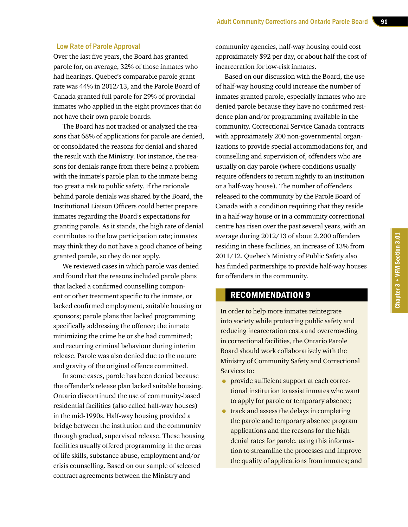#### Low Rate of Parole Approval

Over the last five years, the Board has granted parole for, on average, 32% of those inmates who had hearings. Quebec's comparable parole grant rate was 44% in 2012/13, and the Parole Board of Canada granted full parole for 29% of provincial inmates who applied in the eight provinces that do not have their own parole boards.

The Board has not tracked or analyzed the reasons that 68% of applications for parole are denied, or consolidated the reasons for denial and shared the result with the Ministry. For instance, the reasons for denials range from there being a problem with the inmate's parole plan to the inmate being too great a risk to public safety. If the rationale behind parole denials was shared by the Board, the Institutional Liaison Officers could better prepare inmates regarding the Board's expectations for granting parole. As it stands, the high rate of denial contributes to the low participation rate; inmates may think they do not have a good chance of being granted parole, so they do not apply.

We reviewed cases in which parole was denied and found that the reasons included parole plans that lacked a confirmed counselling component or other treatment specific to the inmate, or lacked confirmed employment, suitable housing or sponsors; parole plans that lacked programming specifically addressing the offence; the inmate minimizing the crime he or she had committed; and recurring criminal behaviour during interim release. Parole was also denied due to the nature and gravity of the original offence committed.

In some cases, parole has been denied because the offender's release plan lacked suitable housing. Ontario discontinued the use of community-based residential facilities (also called half-way houses) in the mid-1990s. Half-way housing provided a bridge between the institution and the community through gradual, supervised release. These housing facilities usually offered programming in the areas of life skills, substance abuse, employment and/or crisis counselling. Based on our sample of selected contract agreements between the Ministry and

community agencies, half-way housing could cost approximately \$92 per day, or about half the cost of incarceration for low-risk inmates.

Based on our discussion with the Board, the use of half-way housing could increase the number of inmates granted parole, especially inmates who are denied parole because they have no confirmed residence plan and/or programming available in the community. Correctional Service Canada contracts with approximately 200 non-governmental organizations to provide special accommodations for, and counselling and supervision of, offenders who are usually on day parole (where conditions usually require offenders to return nightly to an institution or a half-way house). The number of offenders released to the community by the Parole Board of Canada with a condition requiring that they reside in a half-way house or in a community correctional centre has risen over the past several years, with an average during 2012/13 of about 2,200 offenders residing in these facilities, an increase of 13% from 2011/12. Quebec's Ministry of Public Safety also has funded partnerships to provide half-way houses for offenders in the community.

#### RECOMMENDATION 9

In order to help more inmates reintegrate into society while protecting public safety and reducing incarceration costs and overcrowding in correctional facilities, the Ontario Parole Board should work collaboratively with the Ministry of Community Safety and Correctional Services to:

- provide sufficient support at each correctional institution to assist inmates who want to apply for parole or temporary absence;
- track and assess the delays in completing the parole and temporary absence program applications and the reasons for the high denial rates for parole, using this information to streamline the processes and improve the quality of applications from inmates; and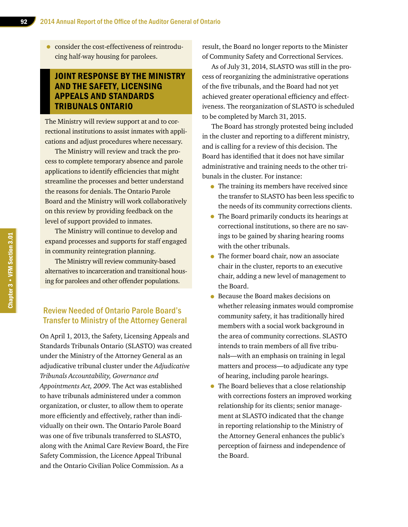• consider the cost-effectiveness of reintroducing half-way housing for parolees.

#### JOINT RESPONSE BY THE MINISTRY AND THE SAFETY, LICENSING APPEALS AND STANDARDS TRIBUNALS ONTARIO

The Ministry will review support at and to correctional institutions to assist inmates with applications and adjust procedures where necessary.

The Ministry will review and track the process to complete temporary absence and parole applications to identify efficiencies that might streamline the processes and better understand the reasons for denials. The Ontario Parole Board and the Ministry will work collaboratively on this review by providing feedback on the level of support provided to inmates.

The Ministry will continue to develop and expand processes and supports for staff engaged in community reintegration planning.

The Ministry will review community-based alternatives to incarceration and transitional housing for parolees and other offender populations.

#### Review Needed of Ontario Parole Board's Transfer to Ministry of the Attorney General

On April 1, 2013, the Safety, Licensing Appeals and Standards Tribunals Ontario (SLASTO) was created under the Ministry of the Attorney General as an adjudicative tribunal cluster under the *Adjudicative Tribunals Accountability, Governance and Appointments Act, 2009*. The Act was established to have tribunals administered under a common organization, or cluster, to allow them to operate more efficiently and effectively, rather than individually on their own. The Ontario Parole Board was one of five tribunals transferred to SLASTO, along with the Animal Care Review Board, the Fire Safety Commission, the Licence Appeal Tribunal and the Ontario Civilian Police Commission. As a

result, the Board no longer reports to the Minister of Community Safety and Correctional Services.

As of July 31, 2014, SLASTO was still in the process of reorganizing the administrative operations of the five tribunals, and the Board had not yet achieved greater operational efficiency and effectiveness. The reorganization of SLASTO is scheduled to be completed by March 31, 2015.

The Board has strongly protested being included in the cluster and reporting to a different ministry, and is calling for a review of this decision. The Board has identified that it does not have similar administrative and training needs to the other tribunals in the cluster. For instance:

- The training its members have received since the transfer to SLASTO has been less specific to the needs of its community corrections clients.
- The Board primarily conducts its hearings at correctional institutions, so there are no savings to be gained by sharing hearing rooms with the other tribunals.
- The former board chair, now an associate chair in the cluster, reports to an executive chair, adding a new level of management to the Board.
- Because the Board makes decisions on whether releasing inmates would compromise community safety, it has traditionally hired members with a social work background in the area of community corrections. SLASTO intends to train members of all five tribunals—with an emphasis on training in legal matters and process—to adjudicate any type of hearing, including parole hearings.
- The Board believes that a close relationship with corrections fosters an improved working relationship for its clients; senior management at SLASTO indicated that the change in reporting relationship to the Ministry of the Attorney General enhances the public's perception of fairness and independence of the Board.